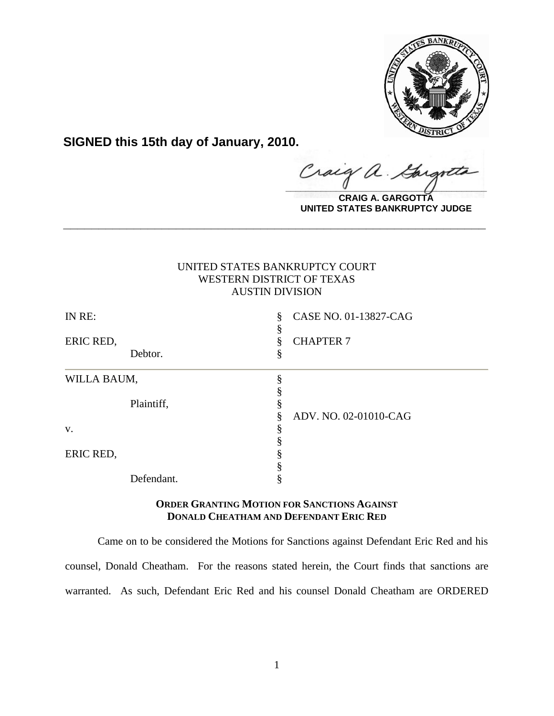

**SIGNED this 15th day of January, 2010.**

Craig a.

**CRAIG A. GARGOTTA UNITED STATES BANKRUPTCY JUDGE**

# UNITED STATES BANKRUPTCY COURT WESTERN DISTRICT OF TEXAS AUSTIN DIVISION

**\_\_\_\_\_\_\_\_\_\_\_\_\_\_\_\_\_\_\_\_\_\_\_\_\_\_\_\_\_\_\_\_\_\_\_\_\_\_\_\_\_\_\_\_\_\_\_\_\_\_\_\_\_\_\_\_\_\_\_\_**

| IN RE:      |            | § | CASE NO. 01-13827-CAG |
|-------------|------------|---|-----------------------|
| ERIC RED,   |            | § | <b>CHAPTER 7</b>      |
|             | Debtor.    | s |                       |
| WILLA BAUM, |            |   |                       |
|             |            |   |                       |
|             | Plaintiff, |   |                       |
|             |            |   | ADV. NO. 02-01010-CAG |
| V.          |            |   |                       |
|             |            |   |                       |
| ERIC RED,   |            |   |                       |
|             |            |   |                       |
|             | Defendant. |   |                       |

# **ORDER GRANTING MOTION FOR SANCTIONS AGAINST DONALD CHEATHAM AND DEFENDANT ERIC RED**

Came on to be considered the Motions for Sanctions against Defendant Eric Red and his counsel, Donald Cheatham. For the reasons stated herein, the Court finds that sanctions are warranted. As such, Defendant Eric Red and his counsel Donald Cheatham are ORDERED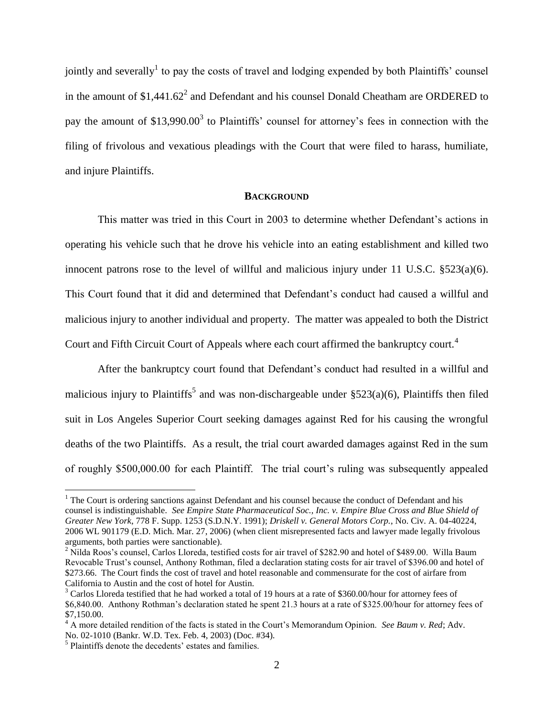jointly and severally<sup>1</sup> to pay the costs of travel and lodging expended by both Plaintiffs' counsel in the amount of  $$1,441.62^2$  and Defendant and his counsel Donald Cheatham are ORDERED to pay the amount of \$13,990.00<sup>3</sup> to Plaintiffs' counsel for attorney's fees in connection with the filing of frivolous and vexatious pleadings with the Court that were filed to harass, humiliate, and injure Plaintiffs.

## **BACKGROUND**

This matter was tried in this Court in 2003 to determine whether Defendant's actions in operating his vehicle such that he drove his vehicle into an eating establishment and killed two innocent patrons rose to the level of willful and malicious injury under 11 U.S.C. §523(a)(6). This Court found that it did and determined that Defendant's conduct had caused a willful and malicious injury to another individual and property. The matter was appealed to both the District Court and Fifth Circuit Court of Appeals where each court affirmed the bankruptcy court.<sup>4</sup>

After the bankruptcy court found that Defendant's conduct had resulted in a willful and malicious injury to Plaintiffs<sup>5</sup> and was non-dischargeable under  $$523(a)(6)$ , Plaintiffs then filed suit in Los Angeles Superior Court seeking damages against Red for his causing the wrongful deaths of the two Plaintiffs. As a result, the trial court awarded damages against Red in the sum of roughly \$500,000.00 for each Plaintiff. The trial court's ruling was subsequently appealed

 $\overline{a}$ 

 $<sup>1</sup>$  The Court is ordering sanctions against Defendant and his counsel because the conduct of Defendant and his</sup> counsel is indistinguishable. *See Empire State Pharmaceutical Soc., Inc. v. Empire Blue Cross and Blue Shield of Greater New York*, 778 F. Supp. 1253 (S.D.N.Y. 1991); *Driskell v. General Motors Corp.*, No. Civ. A. 04-40224, 2006 WL 901179 (E.D. Mich. Mar. 27, 2006) (when client misrepresented facts and lawyer made legally frivolous arguments, both parties were sanctionable).

<sup>&</sup>lt;sup>2</sup> Nilda Roos's counsel, Carlos Lloreda, testified costs for air travel of \$282.90 and hotel of \$489.00. Willa Baum Revocable Trust's counsel, Anthony Rothman, filed a declaration stating costs for air travel of \$396.00 and hotel of \$273.66. The Court finds the cost of travel and hotel reasonable and commensurate for the cost of airfare from California to Austin and the cost of hotel for Austin.

 $3$  Carlos Lloreda testified that he had worked a total of 19 hours at a rate of \$360.00/hour for attorney fees of \$6,840.00. Anthony Rothman's declaration stated he spent 21.3 hours at a rate of \$325.00/hour for attorney fees of \$7,150.00.

<sup>&</sup>lt;sup>4</sup> A more detailed rendition of the facts is stated in the Court's Memorandum Opinion. *See Baum v. Red*; Adv. No. 02-1010 (Bankr. W.D. Tex. Feb. 4, 2003) (Doc. #34).

<sup>&</sup>lt;sup>5</sup> Plaintiffs denote the decedents' estates and families.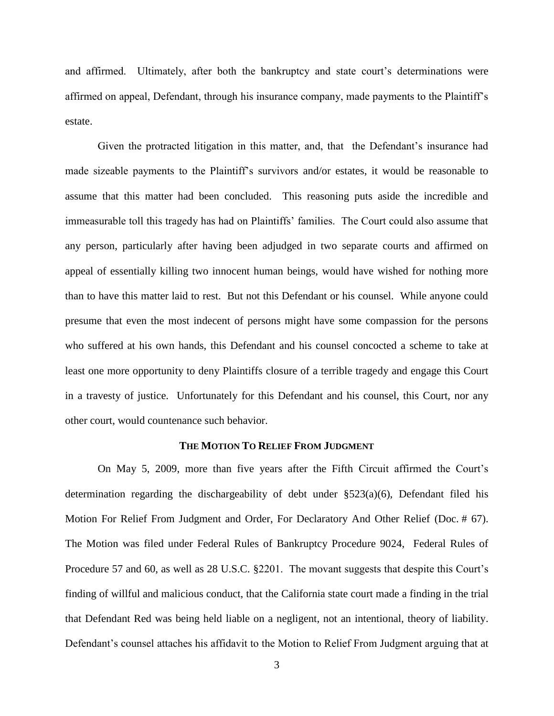and affirmed. Ultimately, after both the bankruptcy and state court's determinations were affirmed on appeal, Defendant, through his insurance company, made payments to the Plaintiff's estate.

Given the protracted litigation in this matter, and, that the Defendant's insurance had made sizeable payments to the Plaintiff's survivors and/or estates, it would be reasonable to assume that this matter had been concluded. This reasoning puts aside the incredible and immeasurable toll this tragedy has had on Plaintiffs' families. The Court could also assume that any person, particularly after having been adjudged in two separate courts and affirmed on appeal of essentially killing two innocent human beings, would have wished for nothing more than to have this matter laid to rest. But not this Defendant or his counsel. While anyone could presume that even the most indecent of persons might have some compassion for the persons who suffered at his own hands, this Defendant and his counsel concocted a scheme to take at least one more opportunity to deny Plaintiffs closure of a terrible tragedy and engage this Court in a travesty of justice. Unfortunately for this Defendant and his counsel, this Court, nor any other court, would countenance such behavior.

#### **THE MOTION TO RELIEF FROM JUDGMENT**

On May 5, 2009, more than five years after the Fifth Circuit affirmed the Court's determination regarding the dischargeability of debt under §523(a)(6), Defendant filed his Motion For Relief From Judgment and Order, For Declaratory And Other Relief (Doc. # 67). The Motion was filed under Federal Rules of Bankruptcy Procedure 9024, Federal Rules of Procedure 57 and 60, as well as 28 U.S.C. §2201. The movant suggests that despite this Court's finding of willful and malicious conduct, that the California state court made a finding in the trial that Defendant Red was being held liable on a negligent, not an intentional, theory of liability. Defendant's counsel attaches his affidavit to the Motion to Relief From Judgment arguing that at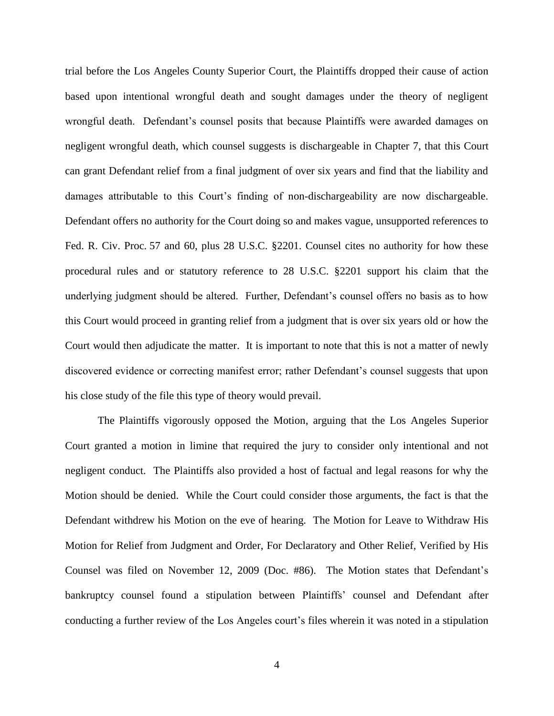trial before the Los Angeles County Superior Court, the Plaintiffs dropped their cause of action based upon intentional wrongful death and sought damages under the theory of negligent wrongful death. Defendant's counsel posits that because Plaintiffs were awarded damages on negligent wrongful death, which counsel suggests is dischargeable in Chapter 7, that this Court can grant Defendant relief from a final judgment of over six years and find that the liability and damages attributable to this Court's finding of non-dischargeability are now dischargeable. Defendant offers no authority for the Court doing so and makes vague, unsupported references to Fed. R. Civ. Proc. 57 and 60, plus 28 U.S.C. §2201. Counsel cites no authority for how these procedural rules and or statutory reference to 28 U.S.C. §2201 support his claim that the underlying judgment should be altered. Further, Defendant's counsel offers no basis as to how this Court would proceed in granting relief from a judgment that is over six years old or how the Court would then adjudicate the matter. It is important to note that this is not a matter of newly discovered evidence or correcting manifest error; rather Defendant's counsel suggests that upon his close study of the file this type of theory would prevail.

The Plaintiffs vigorously opposed the Motion, arguing that the Los Angeles Superior Court granted a motion in limine that required the jury to consider only intentional and not negligent conduct. The Plaintiffs also provided a host of factual and legal reasons for why the Motion should be denied. While the Court could consider those arguments, the fact is that the Defendant withdrew his Motion on the eve of hearing. The Motion for Leave to Withdraw His Motion for Relief from Judgment and Order, For Declaratory and Other Relief, Verified by His Counsel was filed on November 12, 2009 (Doc. #86). The Motion states that Defendant's bankruptcy counsel found a stipulation between Plaintiffs' counsel and Defendant after conducting a further review of the Los Angeles court's files wherein it was noted in a stipulation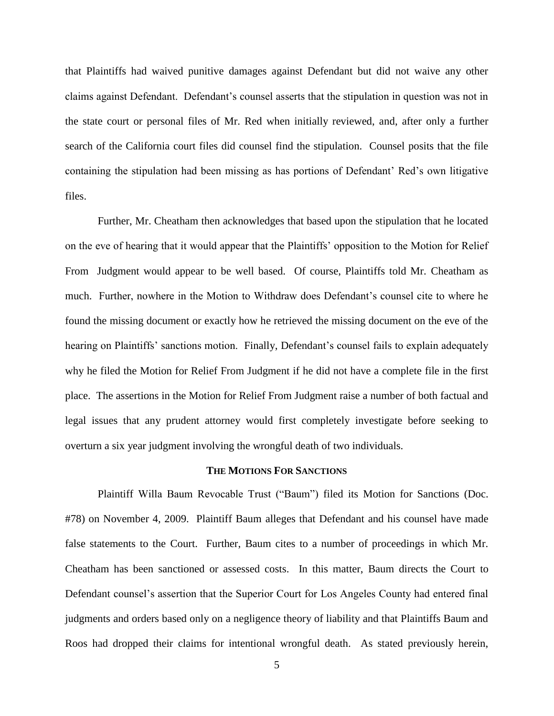that Plaintiffs had waived punitive damages against Defendant but did not waive any other claims against Defendant. Defendant's counsel asserts that the stipulation in question was not in the state court or personal files of Mr. Red when initially reviewed, and, after only a further search of the California court files did counsel find the stipulation. Counsel posits that the file containing the stipulation had been missing as has portions of Defendant' Red's own litigative files.

Further, Mr. Cheatham then acknowledges that based upon the stipulation that he located on the eve of hearing that it would appear that the Plaintiffs' opposition to the Motion for Relief From Judgment would appear to be well based. Of course, Plaintiffs told Mr. Cheatham as much. Further, nowhere in the Motion to Withdraw does Defendant's counsel cite to where he found the missing document or exactly how he retrieved the missing document on the eve of the hearing on Plaintiffs' sanctions motion. Finally, Defendant's counsel fails to explain adequately why he filed the Motion for Relief From Judgment if he did not have a complete file in the first place. The assertions in the Motion for Relief From Judgment raise a number of both factual and legal issues that any prudent attorney would first completely investigate before seeking to overturn a six year judgment involving the wrongful death of two individuals.

#### **THE MOTIONS FOR SANCTIONS**

Plaintiff Willa Baum Revocable Trust ("Baum") filed its Motion for Sanctions (Doc. #78) on November 4, 2009. Plaintiff Baum alleges that Defendant and his counsel have made false statements to the Court. Further, Baum cites to a number of proceedings in which Mr. Cheatham has been sanctioned or assessed costs. In this matter, Baum directs the Court to Defendant counsel's assertion that the Superior Court for Los Angeles County had entered final judgments and orders based only on a negligence theory of liability and that Plaintiffs Baum and Roos had dropped their claims for intentional wrongful death. As stated previously herein,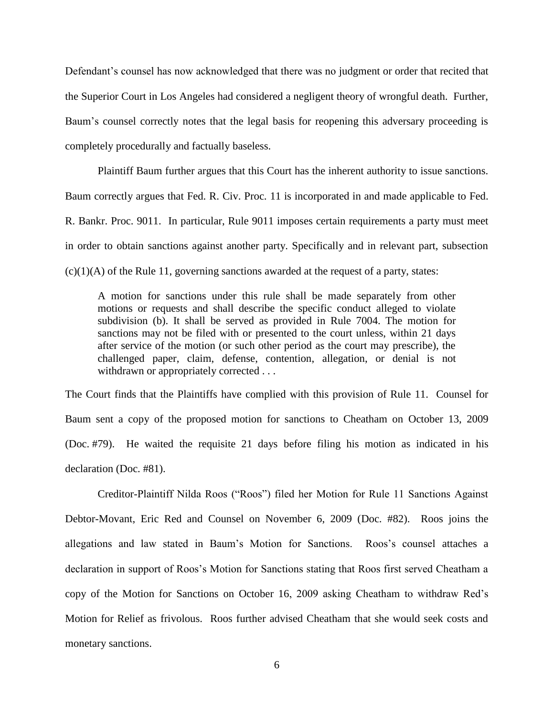Defendant's counsel has now acknowledged that there was no judgment or order that recited that the Superior Court in Los Angeles had considered a negligent theory of wrongful death. Further, Baum's counsel correctly notes that the legal basis for reopening this adversary proceeding is completely procedurally and factually baseless.

Plaintiff Baum further argues that this Court has the inherent authority to issue sanctions. Baum correctly argues that Fed. R. Civ. Proc. 11 is incorporated in and made applicable to Fed. R. Bankr. Proc. 9011. In particular, Rule 9011 imposes certain requirements a party must meet in order to obtain sanctions against another party. Specifically and in relevant part, subsection  $(c)(1)(A)$  of the Rule 11, governing sanctions awarded at the request of a party, states:

A motion for sanctions under this rule shall be made separately from other motions or requests and shall describe the specific conduct alleged to violate subdivision (b). It shall be served as provided in Rule 7004. The motion for sanctions may not be filed with or presented to the court unless, within 21 days after service of the motion (or such other period as the court may prescribe), the challenged paper, claim, defense, contention, allegation, or denial is not withdrawn or appropriately corrected . . .

The Court finds that the Plaintiffs have complied with this provision of Rule 11. Counsel for Baum sent a copy of the proposed motion for sanctions to Cheatham on October 13, 2009 (Doc. #79). He waited the requisite 21 days before filing his motion as indicated in his declaration (Doc. #81).

Creditor-Plaintiff Nilda Roos ("Roos") filed her Motion for Rule 11 Sanctions Against Debtor-Movant, Eric Red and Counsel on November 6, 2009 (Doc. #82). Roos joins the allegations and law stated in Baum's Motion for Sanctions. Roos's counsel attaches a declaration in support of Roos's Motion for Sanctions stating that Roos first served Cheatham a copy of the Motion for Sanctions on October 16, 2009 asking Cheatham to withdraw Red's Motion for Relief as frivolous. Roos further advised Cheatham that she would seek costs and monetary sanctions.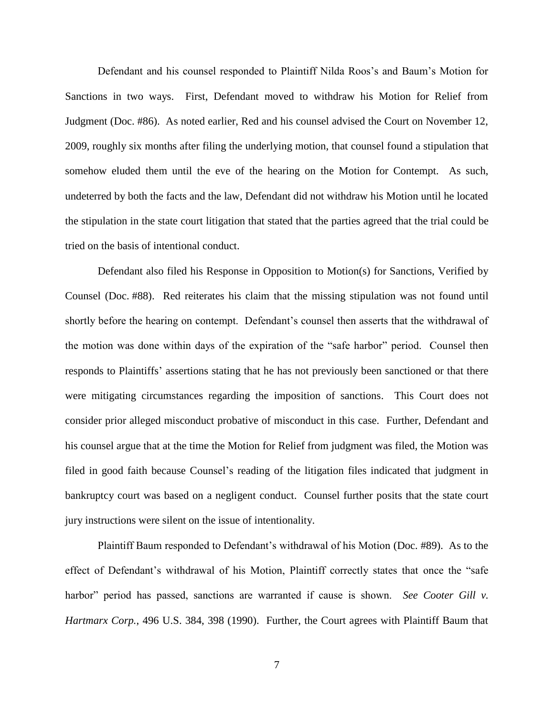Defendant and his counsel responded to Plaintiff Nilda Roos's and Baum's Motion for Sanctions in two ways. First, Defendant moved to withdraw his Motion for Relief from Judgment (Doc. #86). As noted earlier, Red and his counsel advised the Court on November 12, 2009, roughly six months after filing the underlying motion, that counsel found a stipulation that somehow eluded them until the eve of the hearing on the Motion for Contempt. As such, undeterred by both the facts and the law, Defendant did not withdraw his Motion until he located the stipulation in the state court litigation that stated that the parties agreed that the trial could be tried on the basis of intentional conduct.

Defendant also filed his Response in Opposition to Motion(s) for Sanctions, Verified by Counsel (Doc. #88). Red reiterates his claim that the missing stipulation was not found until shortly before the hearing on contempt. Defendant's counsel then asserts that the withdrawal of the motion was done within days of the expiration of the "safe harbor" period. Counsel then responds to Plaintiffs' assertions stating that he has not previously been sanctioned or that there were mitigating circumstances regarding the imposition of sanctions. This Court does not consider prior alleged misconduct probative of misconduct in this case. Further, Defendant and his counsel argue that at the time the Motion for Relief from judgment was filed, the Motion was filed in good faith because Counsel's reading of the litigation files indicated that judgment in bankruptcy court was based on a negligent conduct. Counsel further posits that the state court jury instructions were silent on the issue of intentionality.

Plaintiff Baum responded to Defendant's withdrawal of his Motion (Doc. #89). As to the effect of Defendant's withdrawal of his Motion, Plaintiff correctly states that once the "safe harbor" period has passed, sanctions are warranted if cause is shown. *See Cooter Gill v. Hartmarx Corp.*, 496 U.S. 384, 398 (1990). Further, the Court agrees with Plaintiff Baum that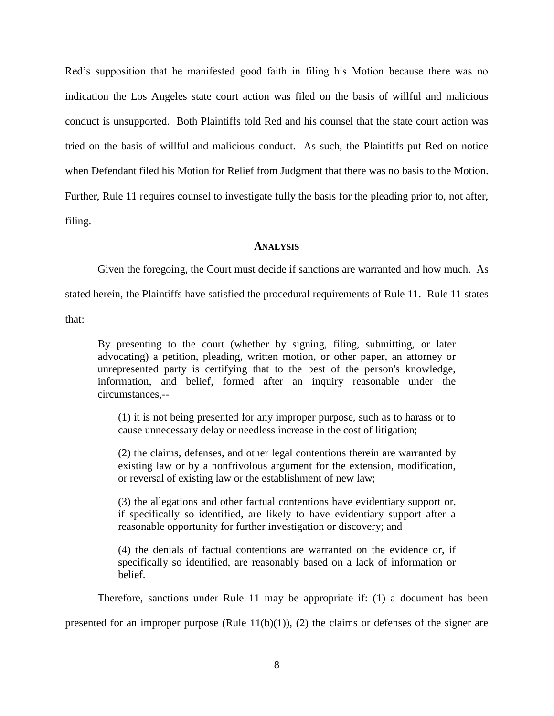Red's supposition that he manifested good faith in filing his Motion because there was no indication the Los Angeles state court action was filed on the basis of willful and malicious conduct is unsupported. Both Plaintiffs told Red and his counsel that the state court action was tried on the basis of willful and malicious conduct. As such, the Plaintiffs put Red on notice when Defendant filed his Motion for Relief from Judgment that there was no basis to the Motion. Further, Rule 11 requires counsel to investigate fully the basis for the pleading prior to, not after, filing.

## **ANALYSIS**

Given the foregoing, the Court must decide if sanctions are warranted and how much. As

stated herein, the Plaintiffs have satisfied the procedural requirements of Rule 11. Rule 11 states

that:

By presenting to the court (whether by signing, filing, submitting, or later advocating) a petition, pleading, written motion, or other paper, an attorney or unrepresented party is certifying that to the best of the person's knowledge, information, and belief, formed after an inquiry reasonable under the circumstances,--

(1) it is not being presented for any improper purpose, such as to harass or to cause unnecessary delay or needless increase in the cost of litigation;

(2) the claims, defenses, and other legal contentions therein are warranted by existing law or by a nonfrivolous argument for the extension, modification, or reversal of existing law or the establishment of new law;

(3) the allegations and other factual contentions have evidentiary support or, if specifically so identified, are likely to have evidentiary support after a reasonable opportunity for further investigation or discovery; and

(4) the denials of factual contentions are warranted on the evidence or, if specifically so identified, are reasonably based on a lack of information or belief.

Therefore, sanctions under Rule 11 may be appropriate if: (1) a document has been

presented for an improper purpose (Rule  $11(b)(1)$ ), (2) the claims or defenses of the signer are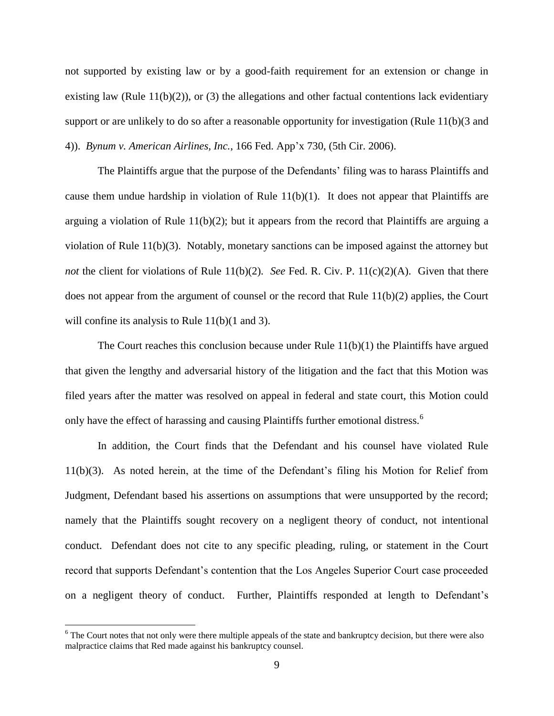not supported by existing law or by a good-faith requirement for an extension or change in existing law (Rule  $11(b)(2)$ ), or (3) the allegations and other factual contentions lack evidentiary support or are unlikely to do so after a reasonable opportunity for investigation (Rule 11(b)(3 and 4)). *Bynum v. American Airlines, Inc.*, 166 Fed. App'x 730, (5th Cir. 2006).

The Plaintiffs argue that the purpose of the Defendants' filing was to harass Plaintiffs and cause them undue hardship in violation of Rule 11(b)(1). It does not appear that Plaintiffs are arguing a violation of Rule 11(b)(2); but it appears from the record that Plaintiffs are arguing a violation of Rule 11(b)(3). Notably, monetary sanctions can be imposed against the attorney but *not* the client for violations of Rule 11(b)(2). *See* Fed. R. Civ. P. 11(c)(2)(A). Given that there does not appear from the argument of counsel or the record that Rule  $11(b)(2)$  applies, the Court will confine its analysis to Rule 11(b)(1 and 3).

The Court reaches this conclusion because under Rule  $11(b)(1)$  the Plaintiffs have argued that given the lengthy and adversarial history of the litigation and the fact that this Motion was filed years after the matter was resolved on appeal in federal and state court, this Motion could only have the effect of harassing and causing Plaintiffs further emotional distress.<sup>6</sup>

In addition, the Court finds that the Defendant and his counsel have violated Rule 11(b)(3). As noted herein, at the time of the Defendant's filing his Motion for Relief from Judgment, Defendant based his assertions on assumptions that were unsupported by the record; namely that the Plaintiffs sought recovery on a negligent theory of conduct, not intentional conduct. Defendant does not cite to any specific pleading, ruling, or statement in the Court record that supports Defendant's contention that the Los Angeles Superior Court case proceeded on a negligent theory of conduct. Further, Plaintiffs responded at length to Defendant's

 $\overline{a}$ 

<sup>&</sup>lt;sup>6</sup> The Court notes that not only were there multiple appeals of the state and bankruptcy decision, but there were also malpractice claims that Red made against his bankruptcy counsel.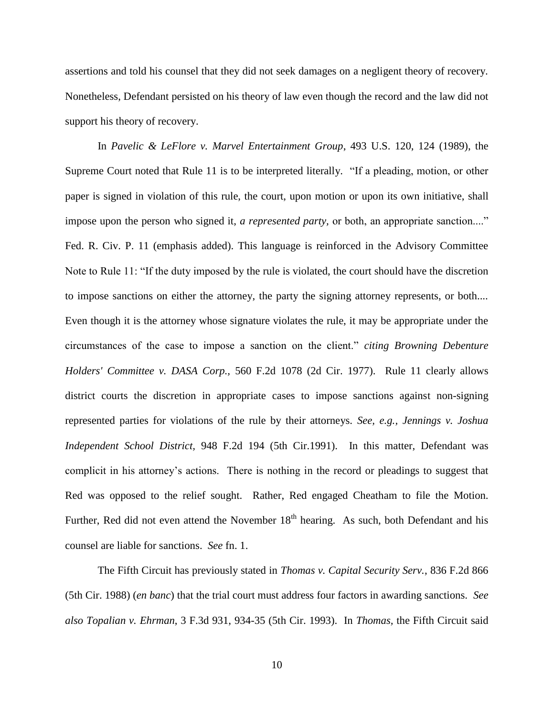assertions and told his counsel that they did not seek damages on a negligent theory of recovery. Nonetheless, Defendant persisted on his theory of law even though the record and the law did not support his theory of recovery.

In *Pavelic & LeFlore v. Marvel Entertainment Group*, 493 U.S. 120, 124 (1989), the Supreme Court noted that Rule 11 is to be interpreted literally. "If a pleading, motion, or other paper is signed in violation of this rule, the court, upon motion or upon its own initiative, shall impose upon the person who signed it, *a represented party,* or both, an appropriate sanction...." Fed. R. Civ. P. 11 (emphasis added). This language is reinforced in the Advisory Committee Note to Rule 11: "If the duty imposed by the rule is violated, the court should have the discretion to impose sanctions on either the attorney, the party the signing attorney represents, or both.... Even though it is the attorney whose signature violates the rule, it may be appropriate under the circumstances of the case to impose a sanction on the client." *citing Browning Debenture Holders' Committee v. DASA Corp.,* 560 F.2d 1078 (2d Cir. 1977). Rule 11 clearly allows district courts the discretion in appropriate cases to impose sanctions against non-signing represented parties for violations of the rule by their attorneys. *See, e.g., Jennings v. Joshua Independent School District,* 948 F.2d 194 (5th Cir.1991). In this matter, Defendant was complicit in his attorney's actions. There is nothing in the record or pleadings to suggest that Red was opposed to the relief sought. Rather, Red engaged Cheatham to file the Motion. Further, Red did not even attend the November  $18<sup>th</sup>$  hearing. As such, both Defendant and his counsel are liable for sanctions. *See* fn. 1.

The Fifth Circuit has previously stated in *Thomas v. Capital Security Serv.*, 836 F.2d 866 (5th Cir. 1988) (*en banc*) that the trial court must address four factors in awarding sanctions. *See also Topalian v. Ehrman*, 3 F.3d 931, 934-35 (5th Cir. 1993). In *Thomas,* the Fifth Circuit said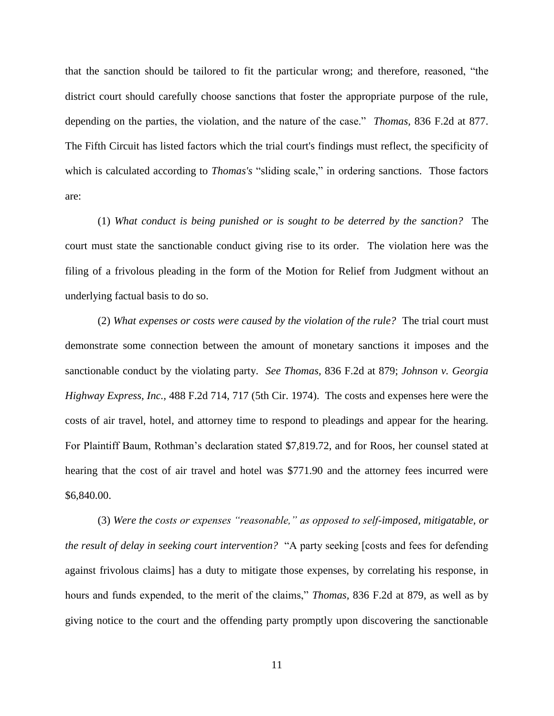that the sanction should be tailored to fit the particular wrong; and therefore, reasoned, "the district court should carefully choose sanctions that foster the appropriate purpose of the rule, depending on the parties, the violation, and the nature of the case." *Thomas,* 836 F.2d at 877. The Fifth Circuit has listed factors which the trial court's findings must reflect, the specificity of which is calculated according to *Thomas's* "sliding scale," in ordering sanctions. Those factors are:

(1) *What conduct is being punished or is sought to be deterred by the sanction?* The court must state the sanctionable conduct giving rise to its order. The violation here was the filing of a frivolous pleading in the form of the Motion for Relief from Judgment without an underlying factual basis to do so.

(2) *What expenses or costs were caused by the violation of the rule?* The trial court must demonstrate some connection between the amount of monetary sanctions it imposes and the sanctionable conduct by the violating party. *See Thomas,* 836 F.2d at 879; *Johnson v. Georgia Highway Express, Inc.,* 488 F.2d 714, 717 (5th Cir. 1974). The costs and expenses here were the costs of air travel, hotel, and attorney time to respond to pleadings and appear for the hearing. For Plaintiff Baum, Rothman's declaration stated \$7,819.72, and for Roos, her counsel stated at hearing that the cost of air travel and hotel was \$771.90 and the attorney fees incurred were \$6,840.00.

(3) *Were the costs or expenses "reasonable," as opposed to self-imposed, mitigatable, or the result of delay in seeking court intervention?* "A party seeking [costs and fees for defending against frivolous claims] has a duty to mitigate those expenses, by correlating his response, in hours and funds expended, to the merit of the claims," *Thomas,* 836 F.2d at 879, as well as by giving notice to the court and the offending party promptly upon discovering the sanctionable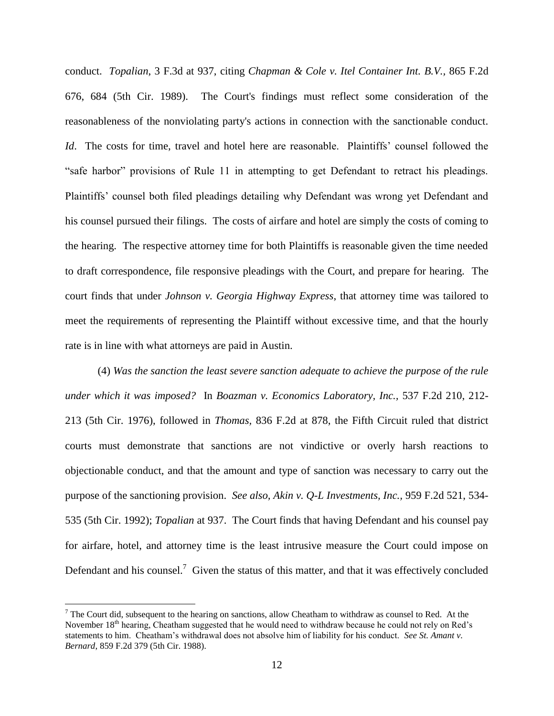conduct. *Topalian*, 3 F.3d at 937, citing *Chapman & Cole v. Itel Container Int. B.V.,* 865 F.2d 676, 684 (5th Cir. 1989). The Court's findings must reflect some consideration of the reasonableness of the nonviolating party's actions in connection with the sanctionable conduct. *Id*. The costs for time, travel and hotel here are reasonable. Plaintiffs' counsel followed the "safe harbor" provisions of Rule 11 in attempting to get Defendant to retract his pleadings. Plaintiffs' counsel both filed pleadings detailing why Defendant was wrong yet Defendant and his counsel pursued their filings. The costs of airfare and hotel are simply the costs of coming to the hearing. The respective attorney time for both Plaintiffs is reasonable given the time needed to draft correspondence, file responsive pleadings with the Court, and prepare for hearing. The court finds that under *Johnson v. Georgia Highway Express*, that attorney time was tailored to meet the requirements of representing the Plaintiff without excessive time, and that the hourly rate is in line with what attorneys are paid in Austin.

(4) *Was the sanction the least severe sanction adequate to achieve the purpose of the rule under which it was imposed?* In *Boazman v. Economics Laboratory, Inc.,* 537 F.2d 210, 212- 213 (5th Cir. 1976), followed in *Thomas,* 836 F.2d at 878, the Fifth Circuit ruled that district courts must demonstrate that sanctions are not vindictive or overly harsh reactions to objectionable conduct, and that the amount and type of sanction was necessary to carry out the purpose of the sanctioning provision. *See also, Akin v. Q-L Investments, Inc.,* 959 F.2d 521, 534- 535 (5th Cir. 1992); *Topalian* at 937. The Court finds that having Defendant and his counsel pay for airfare, hotel, and attorney time is the least intrusive measure the Court could impose on Defendant and his counsel.<sup>7</sup> Given the status of this matter, and that it was effectively concluded

 $\overline{a}$ 

 $<sup>7</sup>$  The Court did, subsequent to the hearing on sanctions, allow Cheatham to withdraw as counsel to Red. At the</sup> November 18<sup>th</sup> hearing, Cheatham suggested that he would need to withdraw because he could not rely on Red's statements to him. Cheatham's withdrawal does not absolve him of liability for his conduct. *See St. Amant v. Bernard*, 859 F.2d 379 (5th Cir. 1988).